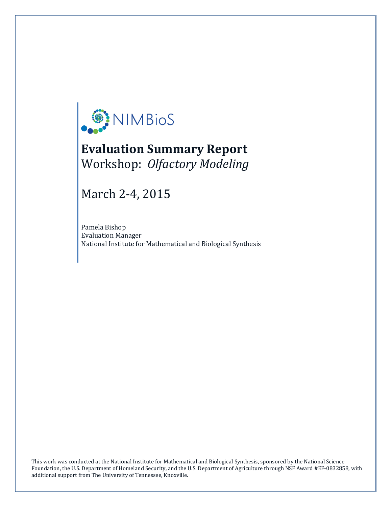

# **Evaluation Summary Report** Workshop: *Olfactory Modeling*

March 2-4, 2015

Pamela Bishop Evaluation Manager National Institute for Mathematical and Biological Synthesis

Foundation, the U.S. Department of Homeland Security, and the U.S. Department of Agriculture through NSF Award #EF-0832858, with This work was conducted at the National Institute for Mathematical and Biological Synthesis, sponsored by the National Science additional support from The University of Tennessee, Knoxville.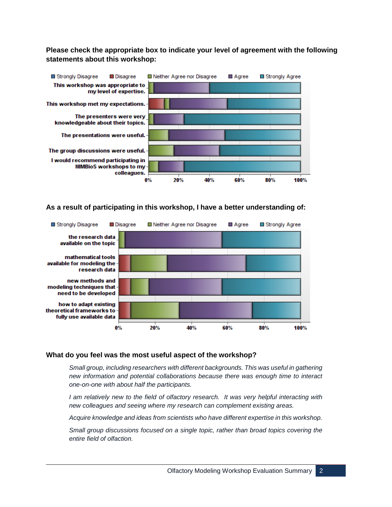# **Please check the appropriate box to indicate your level of agreement with the following statements about this workshop:**



## **As a result of participating in this workshop, I have a better understanding of:**



## **What do you feel was the most useful aspect of the workshop?**

*Small group, including researchers with different backgrounds. This was useful in gathering new information and potential collaborations because there was enough time to interact one-on-one with about half the participants.*

*I am relatively new to the field of olfactory research. It was very helpful interacting with new colleagues and seeing where my research can complement existing areas.*

*Acquire knowledge and ideas from scientists who have different expertise in this workshop.*

*Small group discussions focused on a single topic, rather than broad topics covering the entire field of olfaction.*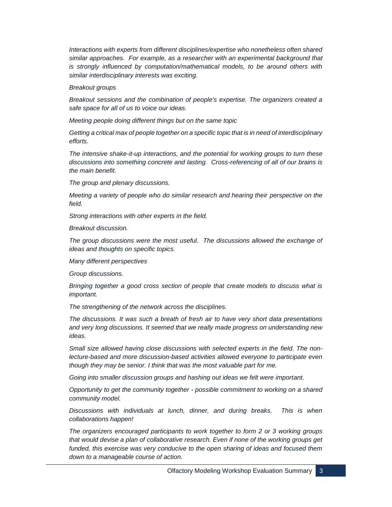*Interactions with experts from different disciplines/expertise who nonetheless often shared similar approaches. For example, as a researcher with an experimental background that is strongly influenced by computation/mathematical models, to be around others with similar interdisciplinary interests was exciting.*

#### *Breakout groups*

*Breakout sessions and the combination of people's expertise. The organizers created a safe space for all of us to voice our ideas.*

*Meeting people doing different things but on the same topic*

*Getting a critical max of people together on a specific topic that is in need of interdisciplinary efforts.*

*The intensive shake-it-up interactions, and the potential for working groups to turn these discussions into something concrete and lasting. Cross-referencing of all of our brains is the main benefit.*

*The group and plenary discussions.*

*Meeting a variety of people who do similar research and hearing their perspective on the field.*

*Strong interactions with other experts in the field.*

*Breakout discussion.*

*The group discussions were the most useful. The discussions allowed the exchange of ideas and thoughts on specific topics.*

*Many different perspectives*

*Group discussions.*

*Bringing together a good cross section of people that create models to discuss what is important.*

*The strengthening of the network across the disciplines.*

*The discussions. It was such a breath of fresh air to have very short data presentations and very long discussions. It seemed that we really made progress on understanding new ideas.*

*Small size allowed having close discussions with selected experts in the field. The nonlecture-based and more discussion-based activities allowed everyone to participate even though they may be senior. I think that was the most valuable part for me.*

*Going into smaller discussion groups and hashing out ideas we felt were important.*

*Opportunity to get the community together - possible commitment to working on a shared community model.*

*Discussions with individuals at lunch, dinner, and during breaks. This is when collaborations happen!*

*The organizers encouraged participants to work together to form 2 or 3 working groups*  that would devise a plan of collaborative research. Even if none of the working groups get funded, this exercise was very conducive to the open sharing of ideas and focused them *down to a manageable course of action.*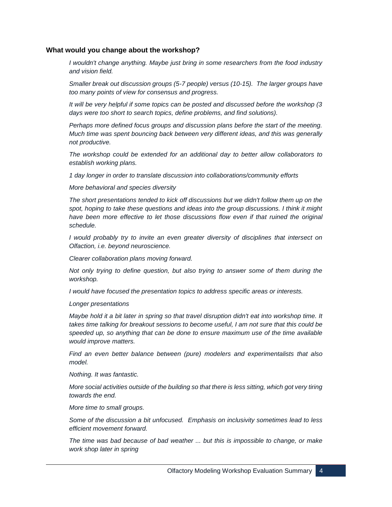## **What would you change about the workshop?**

*I wouldn't change anything. Maybe just bring in some researchers from the food industry and vision field.*

*Smaller break out discussion groups (5-7 people) versus (10-15). The larger groups have too many points of view for consensus and progress.*

*It will be very helpful if some topics can be posted and discussed before the workshop (3 days were too short to search topics, define problems, and find solutions).*

*Perhaps more defined focus groups and discussion plans before the start of the meeting. Much time was spent bouncing back between very different ideas, and this was generally not productive.*

*The workshop could be extended for an additional day to better allow collaborators to establish working plans.*

*1 day longer in order to translate discussion into collaborations/community efforts*

*More behavioral and species diversity*

*The short presentations tended to kick off discussions but we didn't follow them up on the spot, hoping to take these questions and ideas into the group discussions. I think it might*  have been more effective to let those discussions flow even if that ruined the original *schedule.*

*I* would probably try to invite an even greater diversity of disciplines that intersect on *Olfaction, i.e. beyond neuroscience.*

*Clearer collaboration plans moving forward.*

*Not only trying to define question, but also trying to answer some of them during the workshop.*

*I would have focused the presentation topics to address specific areas or interests.*

*Longer presentations*

*Maybe hold it a bit later in spring so that travel disruption didn't eat into workshop time. It takes time talking for breakout sessions to become useful, I am not sure that this could be speeded up, so anything that can be done to ensure maximum use of the time available would improve matters.*

*Find an even better balance between (pure) modelers and experimentalists that also model.*

*Nothing. It was fantastic.*

*More social activities outside of the building so that there is less sitting, which got very tiring towards the end.*

*More time to small groups.*

*Some of the discussion a bit unfocused. Emphasis on inclusivity sometimes lead to less efficient movement forward.*

*The time was bad because of bad weather ... but this is impossible to change, or make work shop later in spring*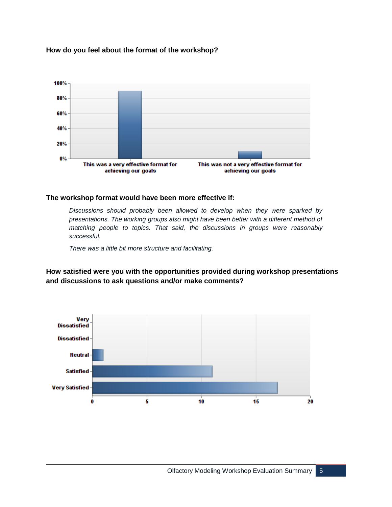## **How do you feel about the format of the workshop?**



## **The workshop format would have been more effective if:**

*Discussions should probably been allowed to develop when they were sparked by presentations. The working groups also might have been better with a different method of matching people to topics. That said, the discussions in groups were reasonably successful.*

*There was a little bit more structure and facilitating.*

**How satisfied were you with the opportunities provided during workshop presentations and discussions to ask questions and/or make comments?**

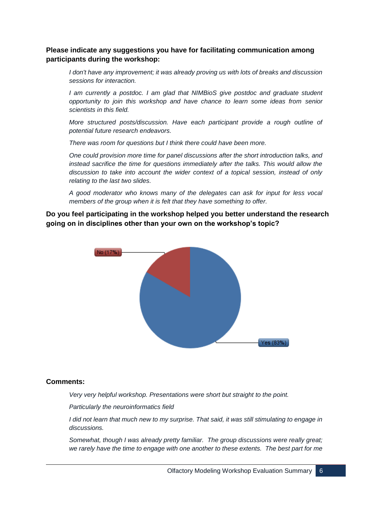# **Please indicate any suggestions you have for facilitating communication among participants during the workshop:**

*I don't have any improvement; it was already proving us with lots of breaks and discussion sessions for interaction.*

*I am currently a postdoc. I am glad that NIMBioS give postdoc and graduate student opportunity to join this workshop and have chance to learn some ideas from senior scientists in this field.*

*More structured posts/discussion. Have each participant provide a rough outline of potential future research endeavors.*

*There was room for questions but I think there could have been more.*

*One could provision more time for panel discussions after the short introduction talks, and instead sacrifice the time for questions immediately after the talks. This would allow the discussion to take into account the wider context of a topical session, instead of only relating to the last two slides.*

*A good moderator who knows many of the delegates can ask for input for less vocal members of the group when it is felt that they have something to offer.*

**Do you feel participating in the workshop helped you better understand the research going on in disciplines other than your own on the workshop's topic?**



## **Comments:**

*Very very helpful workshop. Presentations were short but straight to the point.*

*Particularly the neuroinformatics field*

*I did not learn that much new to my surprise. That said, it was still stimulating to engage in discussions.*

*Somewhat, though I was already pretty familiar. The group discussions were really great; we rarely have the time to engage with one another to these extents. The best part for me*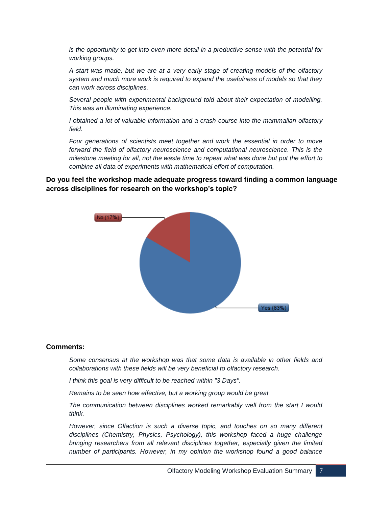*is the opportunity to get into even more detail in a productive sense with the potential for working groups.*

*A start was made, but we are at a very early stage of creating models of the olfactory system and much more work is required to expand the usefulness of models so that they can work across disciplines.*

*Several people with experimental background told about their expectation of modelling. This was an illuminating experience.*

*I obtained a lot of valuable information and a crash-course into the mammalian olfactory field.*

*Four generations of scientists meet together and work the essential in order to move forward the field of olfactory neuroscience and computational neuroscience. This is the milestone meeting for all, not the waste time to repeat what was done but put the effort to combine all data of experiments with mathematical effort of computation.*

# **Do you feel the workshop made adequate progress toward finding a common language across disciplines for research on the workshop's topic?**



## **Comments:**

*Some consensus at the workshop was that some data is available in other fields and collaborations with these fields will be very beneficial to olfactory research.*

*I think this goal is very difficult to be reached within "3 Days".*

*Remains to be seen how effective, but a working group would be great*

*The communication between disciplines worked remarkably well from the start I would think.*

*However, since Olfaction is such a diverse topic, and touches on so many different disciplines (Chemistry, Physics, Psychology), this workshop faced a huge challenge bringing researchers from all relevant disciplines together, especially given the limited number of participants. However, in my opinion the workshop found a good balance*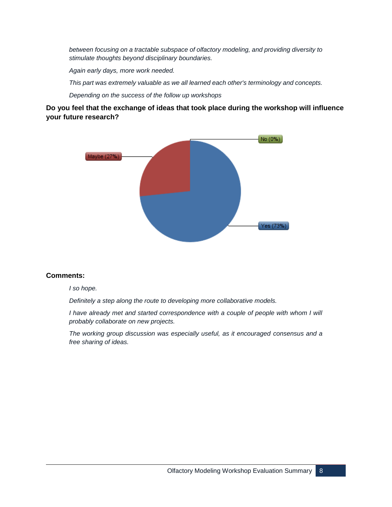*between focusing on a tractable subspace of olfactory modeling, and providing diversity to stimulate thoughts beyond disciplinary boundaries.*

*Again early days, more work needed.*

*This part was extremely valuable as we all learned each other's terminology and concepts.*

*Depending on the success of the follow up workshops*

# **Do you feel that the exchange of ideas that took place during the workshop will influence your future research?**



## **Comments:**

#### *I so hope.*

*Definitely a step along the route to developing more collaborative models.*

*I* have already met and started correspondence with a couple of people with whom I will *probably collaborate on new projects.*

*The working group discussion was especially useful, as it encouraged consensus and a free sharing of ideas.*